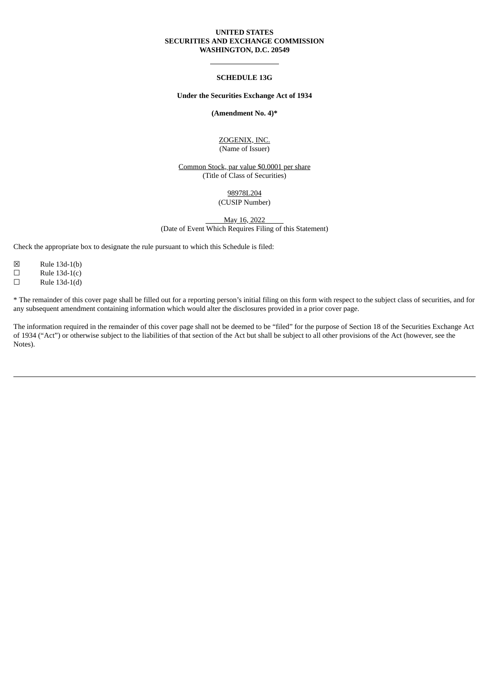### **UNITED STATES SECURITIES AND EXCHANGE COMMISSION WASHINGTON, D.C. 20549**

### **SCHEDULE 13G**

### **Under the Securities Exchange Act of 1934**

### **(Amendment No. 4)\***

#### ZOGENIX, INC. (Name of Issuer)

Common Stock, par value \$0.0001 per share (Title of Class of Securities)

> 98978L204 (CUSIP Number)

May 16, 2022 (Date of Event Which Requires Filing of this Statement)

Check the appropriate box to designate the rule pursuant to which this Schedule is filed:

- ☒ Rule 13d-1(b)
- $\Box$  Rule 13d-1(c)
- $\Box$  Rule 13d-1(d)

\* The remainder of this cover page shall be filled out for a reporting person's initial filing on this form with respect to the subject class of securities, and for any subsequent amendment containing information which would alter the disclosures provided in a prior cover page.

The information required in the remainder of this cover page shall not be deemed to be "filed" for the purpose of Section 18 of the Securities Exchange Act of 1934 ("Act") or otherwise subject to the liabilities of that section of the Act but shall be subject to all other provisions of the Act (however, see the Notes).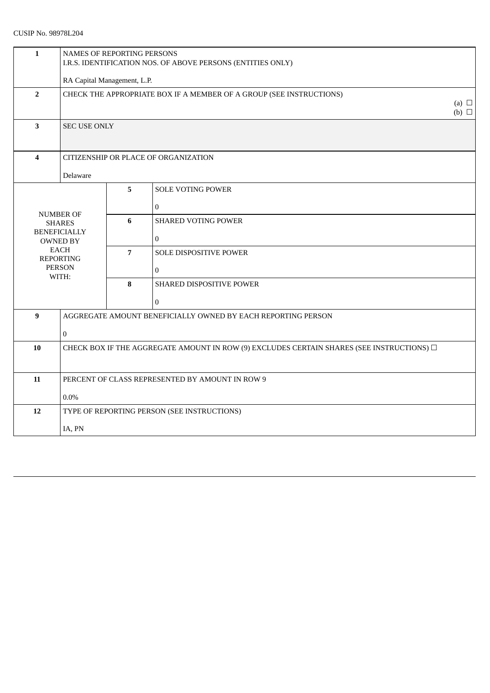# CUSIP No. 98978L204

| $\mathbf{1}$            | NAMES OF REPORTING PERSONS<br>I.R.S. IDENTIFICATION NOS. OF ABOVE PERSONS (ENTITIES ONLY)      |                                                              |                            |  |  |
|-------------------------|------------------------------------------------------------------------------------------------|--------------------------------------------------------------|----------------------------|--|--|
|                         | RA Capital Management, L.P.                                                                    |                                                              |                            |  |  |
| $\overline{2}$          | CHECK THE APPROPRIATE BOX IF A MEMBER OF A GROUP (SEE INSTRUCTIONS)                            |                                                              |                            |  |  |
| $\overline{\mathbf{3}}$ | <b>SEC USE ONLY</b>                                                                            |                                                              |                            |  |  |
| $\overline{\mathbf{4}}$ | CITIZENSHIP OR PLACE OF ORGANIZATION                                                           |                                                              |                            |  |  |
| Delaware                |                                                                                                |                                                              |                            |  |  |
|                         |                                                                                                | 5                                                            | <b>SOLE VOTING POWER</b>   |  |  |
|                         |                                                                                                |                                                              | $\overline{0}$             |  |  |
|                         | <b>NUMBER OF</b><br><b>SHARES</b>                                                              | 6                                                            | <b>SHARED VOTING POWER</b> |  |  |
|                         | <b>BENEFICIALLY</b><br><b>OWNED BY</b>                                                         |                                                              | $\overline{0}$             |  |  |
|                         | <b>EACH</b><br><b>REPORTING</b>                                                                | $\overline{7}$                                               | SOLE DISPOSITIVE POWER     |  |  |
|                         | <b>PERSON</b><br>WITH:                                                                         |                                                              | $\overline{0}$             |  |  |
|                         |                                                                                                | $\bf{8}$                                                     | SHARED DISPOSITIVE POWER   |  |  |
|                         |                                                                                                |                                                              | $\Omega$                   |  |  |
| $\mathbf{9}$            |                                                                                                | AGGREGATE AMOUNT BENEFICIALLY OWNED BY EACH REPORTING PERSON |                            |  |  |
|                         | $\mathbf{0}$                                                                                   |                                                              |                            |  |  |
| 10                      | CHECK BOX IF THE AGGREGATE AMOUNT IN ROW (9) EXCLUDES CERTAIN SHARES (SEE INSTRUCTIONS) $\Box$ |                                                              |                            |  |  |
|                         |                                                                                                |                                                              |                            |  |  |
| 11                      | PERCENT OF CLASS REPRESENTED BY AMOUNT IN ROW 9                                                |                                                              |                            |  |  |
|                         | $0.0\%$                                                                                        |                                                              |                            |  |  |
| 12                      | TYPE OF REPORTING PERSON (SEE INSTRUCTIONS)                                                    |                                                              |                            |  |  |
|                         | IA, PN                                                                                         |                                                              |                            |  |  |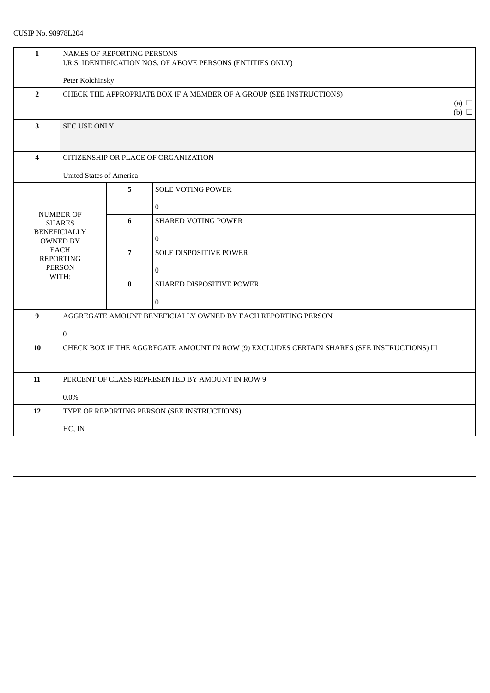| $\mathbf{1}$                                                                     | NAMES OF REPORTING PERSONS<br>I.R.S. IDENTIFICATION NOS. OF ABOVE PERSONS (ENTITIES ONLY)      |                                      |                            |  |  |  |
|----------------------------------------------------------------------------------|------------------------------------------------------------------------------------------------|--------------------------------------|----------------------------|--|--|--|
|                                                                                  |                                                                                                | Peter Kolchinsky                     |                            |  |  |  |
| $\overline{2}$                                                                   | CHECK THE APPROPRIATE BOX IF A MEMBER OF A GROUP (SEE INSTRUCTIONS)                            |                                      |                            |  |  |  |
| 3                                                                                | <b>SEC USE ONLY</b>                                                                            |                                      |                            |  |  |  |
| $\overline{\mathbf{4}}$                                                          |                                                                                                | CITIZENSHIP OR PLACE OF ORGANIZATION |                            |  |  |  |
|                                                                                  | <b>United States of America</b>                                                                |                                      |                            |  |  |  |
|                                                                                  |                                                                                                | 5                                    | <b>SOLE VOTING POWER</b>   |  |  |  |
|                                                                                  |                                                                                                |                                      | $\boldsymbol{0}$           |  |  |  |
|                                                                                  | <b>NUMBER OF</b><br><b>SHARES</b>                                                              | 6                                    | <b>SHARED VOTING POWER</b> |  |  |  |
|                                                                                  | <b>BENEFICIALLY</b><br>OWNED BY                                                                |                                      | $\boldsymbol{0}$           |  |  |  |
|                                                                                  | <b>EACH</b><br><b>REPORTING</b>                                                                | $\overline{7}$                       | SOLE DISPOSITIVE POWER     |  |  |  |
|                                                                                  | <b>PERSON</b><br>WITH:                                                                         |                                      | $\boldsymbol{0}$           |  |  |  |
|                                                                                  |                                                                                                | $\bf{8}$                             | SHARED DISPOSITIVE POWER   |  |  |  |
|                                                                                  |                                                                                                |                                      | $\theta$                   |  |  |  |
| $\boldsymbol{9}$<br>AGGREGATE AMOUNT BENEFICIALLY OWNED BY EACH REPORTING PERSON |                                                                                                |                                      |                            |  |  |  |
|                                                                                  | $\boldsymbol{0}$                                                                               |                                      |                            |  |  |  |
| 10                                                                               | CHECK BOX IF THE AGGREGATE AMOUNT IN ROW (9) EXCLUDES CERTAIN SHARES (SEE INSTRUCTIONS) $\Box$ |                                      |                            |  |  |  |
|                                                                                  |                                                                                                |                                      |                            |  |  |  |
| 11                                                                               | PERCENT OF CLASS REPRESENTED BY AMOUNT IN ROW 9                                                |                                      |                            |  |  |  |
|                                                                                  | $0.0\%$                                                                                        |                                      |                            |  |  |  |
| 12                                                                               | TYPE OF REPORTING PERSON (SEE INSTRUCTIONS)                                                    |                                      |                            |  |  |  |
| HC, IN                                                                           |                                                                                                |                                      |                            |  |  |  |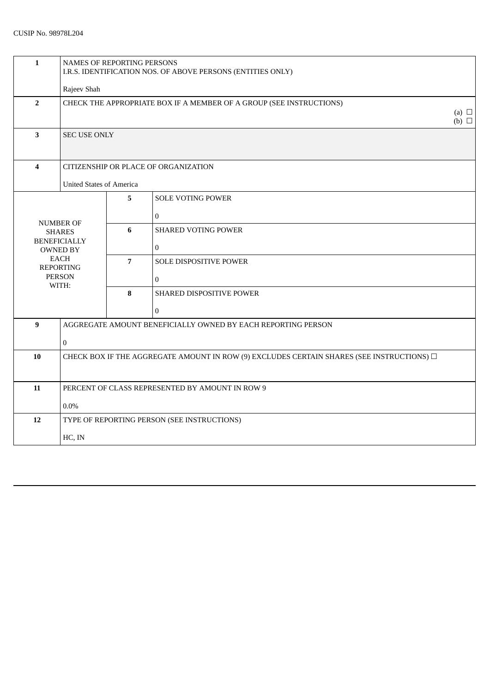| $\mathbf{1}$            | NAMES OF REPORTING PERSONS<br>I.R.S. IDENTIFICATION NOS. OF ABOVE PERSONS (ENTITIES ONLY)      |                |                            |  |  |
|-------------------------|------------------------------------------------------------------------------------------------|----------------|----------------------------|--|--|
|                         | Rajeev Shah                                                                                    |                |                            |  |  |
| $\overline{2}$          | CHECK THE APPROPRIATE BOX IF A MEMBER OF A GROUP (SEE INSTRUCTIONS)                            |                |                            |  |  |
| $\mathbf{3}$            | <b>SEC USE ONLY</b>                                                                            |                |                            |  |  |
| $\overline{\mathbf{4}}$ | CITIZENSHIP OR PLACE OF ORGANIZATION                                                           |                |                            |  |  |
|                         | <b>United States of America</b>                                                                |                |                            |  |  |
|                         |                                                                                                | 5              | <b>SOLE VOTING POWER</b>   |  |  |
| <b>NUMBER OF</b>        |                                                                                                |                | $\mathbf{0}$               |  |  |
|                         | <b>SHARES</b>                                                                                  | 6              | <b>SHARED VOTING POWER</b> |  |  |
|                         | <b>BENEFICIALLY</b><br><b>OWNED BY</b>                                                         |                | $\boldsymbol{0}$           |  |  |
|                         | <b>EACH</b><br><b>REPORTING</b>                                                                | $\overline{7}$ | SOLE DISPOSITIVE POWER     |  |  |
|                         | <b>PERSON</b><br>WITH:                                                                         |                | $\bf{0}$                   |  |  |
|                         |                                                                                                | 8              | SHARED DISPOSITIVE POWER   |  |  |
|                         |                                                                                                |                | $\boldsymbol{0}$           |  |  |
| $\bf{9}$                | AGGREGATE AMOUNT BENEFICIALLY OWNED BY EACH REPORTING PERSON                                   |                |                            |  |  |
|                         | $\mathbf{0}$                                                                                   |                |                            |  |  |
| 10                      | CHECK BOX IF THE AGGREGATE AMOUNT IN ROW (9) EXCLUDES CERTAIN SHARES (SEE INSTRUCTIONS) $\Box$ |                |                            |  |  |
|                         |                                                                                                |                |                            |  |  |
| 11                      | PERCENT OF CLASS REPRESENTED BY AMOUNT IN ROW 9                                                |                |                            |  |  |
| $0.0\%$                 |                                                                                                |                |                            |  |  |
| 12                      | TYPE OF REPORTING PERSON (SEE INSTRUCTIONS)                                                    |                |                            |  |  |
|                         | HC, IN                                                                                         |                |                            |  |  |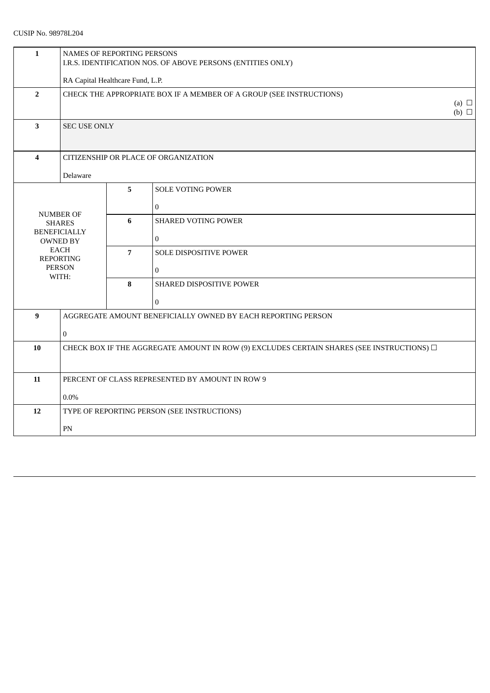# CUSIP No. 98978L204

| $\mathbf{1}$            | NAMES OF REPORTING PERSONS<br>I.R.S. IDENTIFICATION NOS. OF ABOVE PERSONS (ENTITIES ONLY)      |                                  |                                                              |  |  |  |
|-------------------------|------------------------------------------------------------------------------------------------|----------------------------------|--------------------------------------------------------------|--|--|--|
|                         |                                                                                                | RA Capital Healthcare Fund, L.P. |                                                              |  |  |  |
| $\overline{2}$          | CHECK THE APPROPRIATE BOX IF A MEMBER OF A GROUP (SEE INSTRUCTIONS)                            |                                  |                                                              |  |  |  |
| $\overline{\mathbf{3}}$ | <b>SEC USE ONLY</b>                                                                            |                                  |                                                              |  |  |  |
| $\overline{\mathbf{4}}$ | CITIZENSHIP OR PLACE OF ORGANIZATION                                                           |                                  |                                                              |  |  |  |
| Delaware                |                                                                                                |                                  |                                                              |  |  |  |
|                         |                                                                                                | 5                                | <b>SOLE VOTING POWER</b>                                     |  |  |  |
|                         |                                                                                                |                                  | $\overline{0}$                                               |  |  |  |
|                         | <b>NUMBER OF</b><br><b>SHARES</b>                                                              | 6                                | <b>SHARED VOTING POWER</b>                                   |  |  |  |
|                         | <b>BENEFICIALLY</b><br><b>OWNED BY</b>                                                         |                                  | $\boldsymbol{0}$                                             |  |  |  |
|                         | <b>EACH</b><br><b>REPORTING</b>                                                                | $\overline{7}$                   | SOLE DISPOSITIVE POWER                                       |  |  |  |
|                         | <b>PERSON</b>                                                                                  |                                  | $\overline{0}$                                               |  |  |  |
|                         | WITH:                                                                                          | $\bf{8}$                         | SHARED DISPOSITIVE POWER                                     |  |  |  |
|                         |                                                                                                |                                  | $\overline{0}$                                               |  |  |  |
| $\mathbf{9}$            |                                                                                                |                                  | AGGREGATE AMOUNT BENEFICIALLY OWNED BY EACH REPORTING PERSON |  |  |  |
|                         | $\mathbf{0}$                                                                                   |                                  |                                                              |  |  |  |
| 10                      | CHECK BOX IF THE AGGREGATE AMOUNT IN ROW (9) EXCLUDES CERTAIN SHARES (SEE INSTRUCTIONS) $\Box$ |                                  |                                                              |  |  |  |
|                         |                                                                                                |                                  |                                                              |  |  |  |
| 11                      | PERCENT OF CLASS REPRESENTED BY AMOUNT IN ROW 9                                                |                                  |                                                              |  |  |  |
|                         | $0.0\%$                                                                                        |                                  |                                                              |  |  |  |
| 12                      | TYPE OF REPORTING PERSON (SEE INSTRUCTIONS)                                                    |                                  |                                                              |  |  |  |
|                         | PN                                                                                             |                                  |                                                              |  |  |  |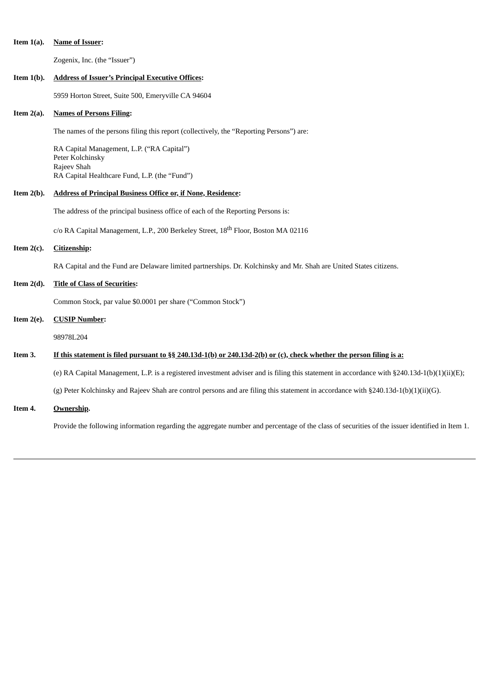### **Item 1(a). Name of Issuer:**

Zogenix, Inc. (the "Issuer")

### **Item 1(b). Address of Issuer's Principal Executive Offices:**

5959 Horton Street, Suite 500, Emeryville CA 94604

### **Item 2(a). Names of Persons Filing:**

The names of the persons filing this report (collectively, the "Reporting Persons") are:

RA Capital Management, L.P. ("RA Capital") Peter Kolchinsky Rajeev Shah RA Capital Healthcare Fund, L.P. (the "Fund")

### **Item 2(b). Address of Principal Business Office or, if None, Residence:**

The address of the principal business office of each of the Reporting Persons is:

c/o RA Capital Management, L.P., 200 Berkeley Street, 18<sup>th</sup> Floor, Boston MA 02116

# **Item 2(c). Citizenship:**

RA Capital and the Fund are Delaware limited partnerships. Dr. Kolchinsky and Mr. Shah are United States citizens.

#### **Item 2(d). Title of Class of Securities:**

Common Stock, par value \$0.0001 per share ("Common Stock")

## **Item 2(e). CUSIP Number:**

98978L204

### Item 3. If this statement is filed pursuant to §§ 240.13d-1(b) or 240.13d-2(b) or (c), check whether the person filing is a:

(e) RA Capital Management, L.P. is a registered investment adviser and is filing this statement in accordance with §240.13d-1(b)(1)(ii)(E);

(g) Peter Kolchinsky and Rajeev Shah are control persons and are filing this statement in accordance with §240.13d-1(b)(1)(ii)(G).

**Item 4. Ownership.**

Provide the following information regarding the aggregate number and percentage of the class of securities of the issuer identified in Item 1.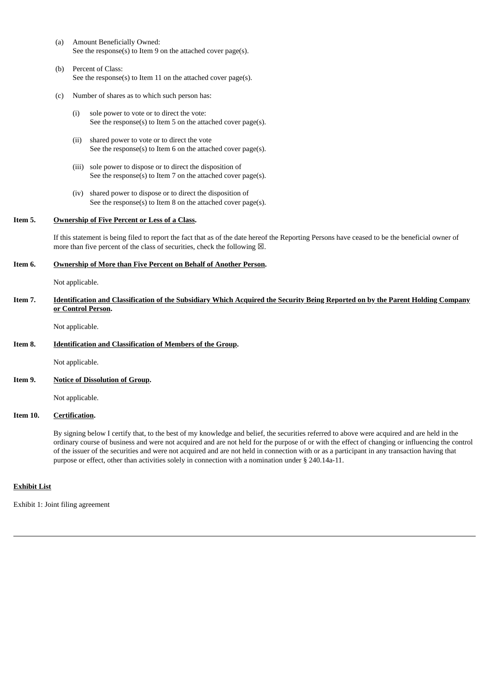- (a) Amount Beneficially Owned: See the response(s) to Item 9 on the attached cover page(s).
- (b) Percent of Class: See the response(s) to Item 11 on the attached cover page(s).
- (c) Number of shares as to which such person has:
	- (i) sole power to vote or to direct the vote: See the response(s) to Item 5 on the attached cover page(s).
	- (ii) shared power to vote or to direct the vote See the response(s) to Item 6 on the attached cover page(s).
	- (iii) sole power to dispose or to direct the disposition of See the response(s) to Item 7 on the attached cover page(s).
	- (iv) shared power to dispose or to direct the disposition of See the response(s) to Item 8 on the attached cover page(s).

### **Item 5. Ownership of Five Percent or Less of a Class.**

If this statement is being filed to report the fact that as of the date hereof the Reporting Persons have ceased to be the beneficial owner of more than five percent of the class of securities, check the following  $\boxtimes$ .

#### **Item 6. Ownership of More than Five Percent on Behalf of Another Person.**

Not applicable.

Item 7. Identification and Classification of the Subsidiary Which Acquired the Security Being Reported on by the Parent Holding Company **or Control Person.**

Not applicable.

### **Item 8. Identification and Classification of Members of the Group.**

Not applicable.

**Item 9. Notice of Dissolution of Group.**

Not applicable.

#### **Item 10. Certification.**

By signing below I certify that, to the best of my knowledge and belief, the securities referred to above were acquired and are held in the ordinary course of business and were not acquired and are not held for the purpose of or with the effect of changing or influencing the control of the issuer of the securities and were not acquired and are not held in connection with or as a participant in any transaction having that purpose or effect, other than activities solely in connection with a nomination under § 240.14a-11.

### **Exhibit List**

Exhibit 1: Joint filing agreement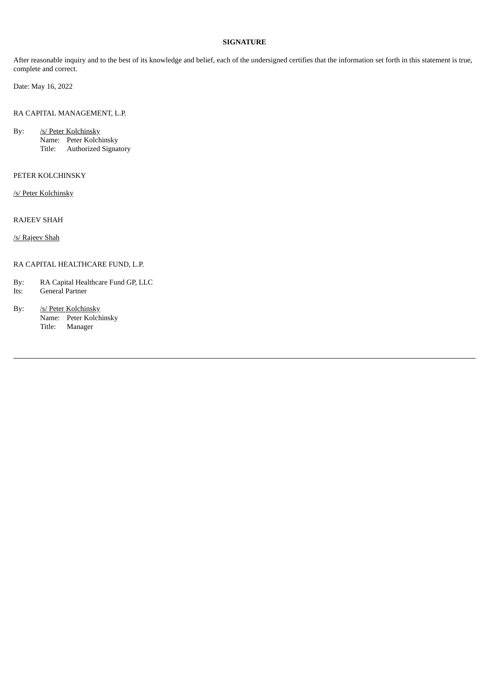### **SIGNATURE**

After reasonable inquiry and to the best of its knowledge and belief, each of the undersigned certifies that the information set forth in this statement is true, complete and correct.

Date: May 16, 2022

RA CAPITAL MANAGEMENT, L.P.

By: /s/ Peter Kolchinsky Name: Peter Kolchinsky Title: Authorized Signatory

### PETER KOLCHINSKY

/s/ Peter Kolchinsky

RAJEEV SHAH

/s/ Rajeev Shah

### RA CAPITAL HEALTHCARE FUND, L.P.

By: RA Capital Healthcare Fund GP, LLC

- Its: General Partner
- By: /s/ Peter Kolchinsky Name: Peter Kolchinsky Title: Manager